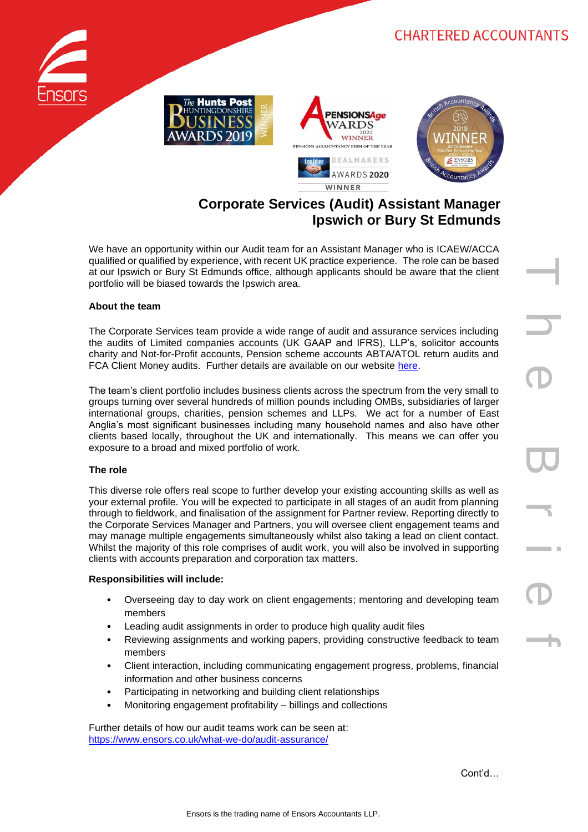# **CHARTERED ACCOUNTANTS**









# **Corporate Services (Audit) Assistant Manager Ipswich or Bury St Edmunds**

We have an opportunity within our Audit team for an Assistant Manager who is ICAEW/ACCA qualified or qualified by experience, with recent UK practice experience. The role can be based at our Ipswich or Bury St Edmunds office, although applicants should be aware that the client portfolio will be biased towards the Ipswich area.

#### **About the team**

The Corporate Services team provide a wide range of audit and assurance services including the audits of Limited companies accounts (UK GAAP and IFRS), LLP's, solicitor accounts charity and Not-for-Profit accounts, Pension scheme accounts ABTA/ATOL return audits and FCA Client Money audits. Further details are available on our website [here.](https://www.ensors.co.uk/what-we-do/audit-assurance/)

The team's client portfolio includes business clients across the spectrum from the very small to groups turning over several hundreds of million pounds including OMBs, subsidiaries of larger international groups, charities, pension schemes and LLPs. We act for a number of East Anglia's most significant businesses including many household names and also have other clients based locally, throughout the UK and internationally. This means we can offer you exposure to a broad and mixed portfolio of work.

### **The role**

This diverse role offers real scope to further develop your existing accounting skills as well as your external profile. You will be expected to participate in all stages of an audit from planning through to fieldwork, and finalisation of the assignment for Partner review. Reporting directly to the Corporate Services Manager and Partners, you will oversee client engagement teams and may manage multiple engagements simultaneously whilst also taking a lead on client contact. Whilst the majority of this role comprises of audit work, you will also be involved in supporting clients with accounts preparation and corporation tax matters.

#### **Responsibilities will include:**

- Overseeing day to day work on client engagements; mentoring and developing team members
- Leading audit assignments in order to produce high quality audit files
- Reviewing assignments and working papers, providing constructive feedback to team members
- Client interaction, including communicating engagement progress, problems, financial information and other business concerns
- Participating in networking and building client relationships
- Monitoring engagement profitability billings and collections

Further details of how our audit teams work can be seen at: <https://www.ensors.co.uk/what-we-do/audit-assurance/>